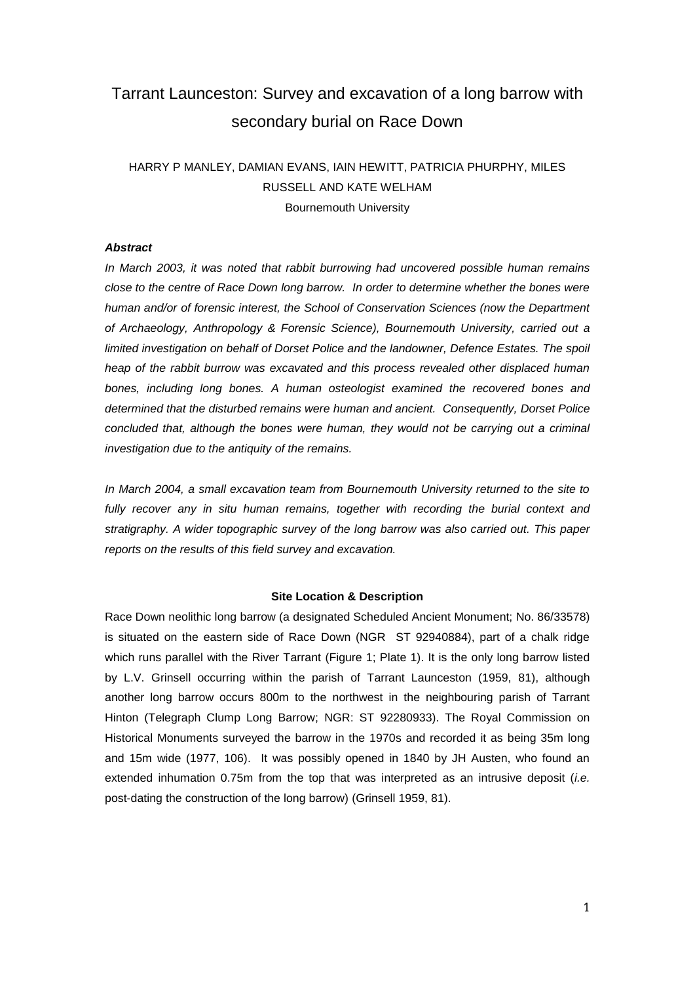# Tarrant Launceston: Survey and excavation of a long barrow with secondary burial on Race Down

# HARRY P MANLEY, DAMIAN EVANS, IAIN HEWITT, PATRICIA PHURPHY, MILES RUSSELL AND KATE WELHAM Bournemouth University

### *Abstract*

*In March 2003, it was noted that rabbit burrowing had uncovered possible human remains close to the centre of Race Down long barrow. In order to determine whether the bones were human and/or of forensic interest, the School of Conservation Sciences (now the Department of Archaeology, Anthropology & Forensic Science), Bournemouth University, carried out a limited investigation on behalf of Dorset Police and the landowner, Defence Estates. The spoil heap of the rabbit burrow was excavated and this process revealed other displaced human bones, including long bones. A human osteologist examined the recovered bones and determined that the disturbed remains were human and ancient. Consequently, Dorset Police concluded that, although the bones were human, they would not be carrying out a criminal investigation due to the antiquity of the remains.* 

*In March 2004, a small excavation team from Bournemouth University returned to the site to fully recover any in situ human remains, together with recording the burial context and stratigraphy. A wider topographic survey of the long barrow was also carried out. This paper reports on the results of this field survey and excavation.*

#### **Site Location & Description**

Race Down neolithic long barrow (a designated Scheduled Ancient Monument; No. 86/33578) is situated on the eastern side of Race Down (NGR ST 92940884), part of a chalk ridge which runs parallel with the River Tarrant (Figure 1; Plate 1). It is the only long barrow listed by L.V. Grinsell occurring within the parish of Tarrant Launceston (1959, 81), although another long barrow occurs 800m to the northwest in the neighbouring parish of Tarrant Hinton (Telegraph Clump Long Barrow; NGR: ST 92280933). The Royal Commission on Historical Monuments surveyed the barrow in the 1970s and recorded it as being 35m long and 15m wide (1977, 106). It was possibly opened in 1840 by JH Austen, who found an extended inhumation 0.75m from the top that was interpreted as an intrusive deposit (*i.e.* post-dating the construction of the long barrow) (Grinsell 1959, 81).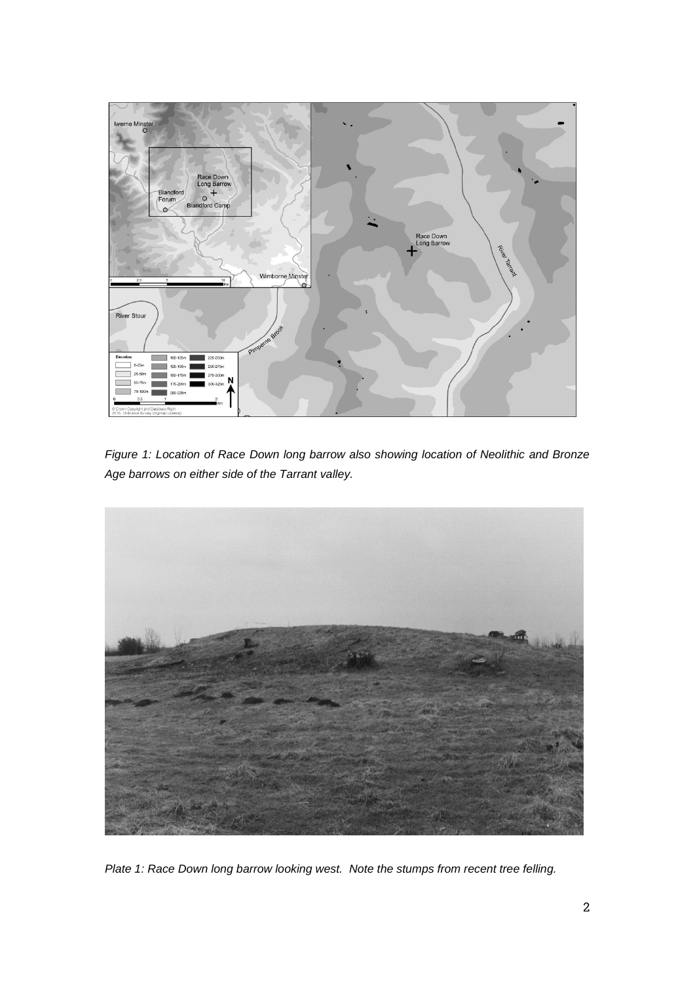

*Figure 1: Location of Race Down long barrow also showing location of Neolithic and Bronze Age barrows on either side of the Tarrant valley.*



*Plate 1: Race Down long barrow looking west. Note the stumps from recent tree felling.*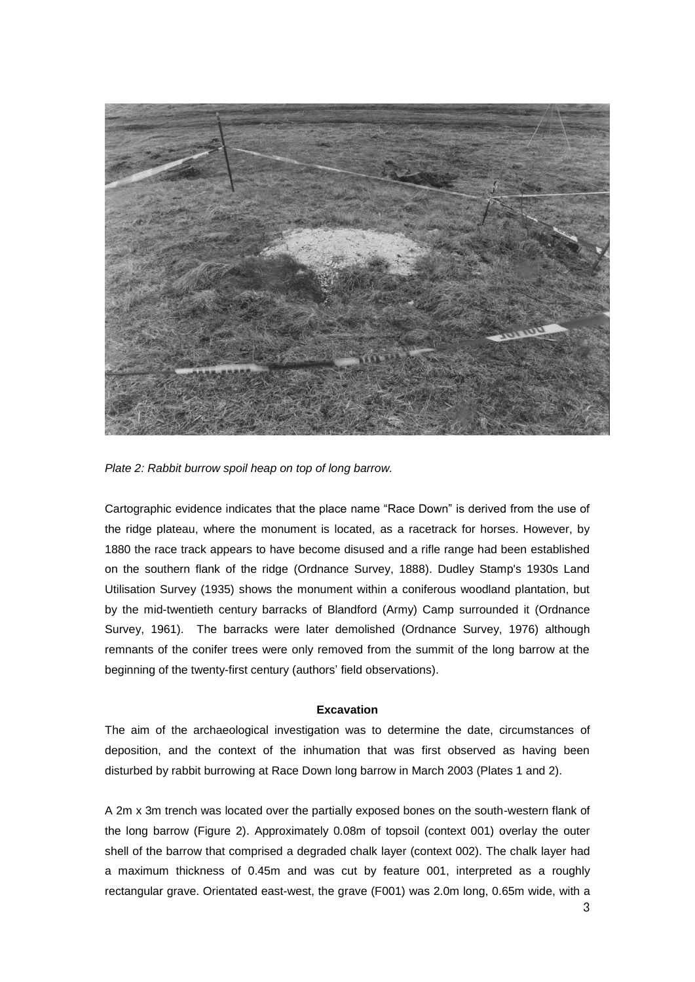

*Plate 2: Rabbit burrow spoil heap on top of long barrow.*

Cartographic evidence indicates that the place name "Race Down" is derived from the use of the ridge plateau, where the monument is located, as a racetrack for horses. However, by 1880 the race track appears to have become disused and a rifle range had been established on the southern flank of the ridge (Ordnance Survey, 1888). Dudley Stamp's 1930s Land Utilisation Survey (1935) shows the monument within a coniferous woodland plantation, but by the mid-twentieth century barracks of Blandford (Army) Camp surrounded it (Ordnance Survey, 1961). The barracks were later demolished (Ordnance Survey, 1976) although remnants of the conifer trees were only removed from the summit of the long barrow at the beginning of the twenty-first century (authors' field observations).

### **Excavation**

The aim of the archaeological investigation was to determine the date, circumstances of deposition, and the context of the inhumation that was first observed as having been disturbed by rabbit burrowing at Race Down long barrow in March 2003 (Plates 1 and 2).

A 2m x 3m trench was located over the partially exposed bones on the south-western flank of the long barrow (Figure 2). Approximately 0.08m of topsoil (context 001) overlay the outer shell of the barrow that comprised a degraded chalk layer (context 002). The chalk layer had a maximum thickness of 0.45m and was cut by feature 001, interpreted as a roughly rectangular grave. Orientated east-west, the grave (F001) was 2.0m long, 0.65m wide, with a

3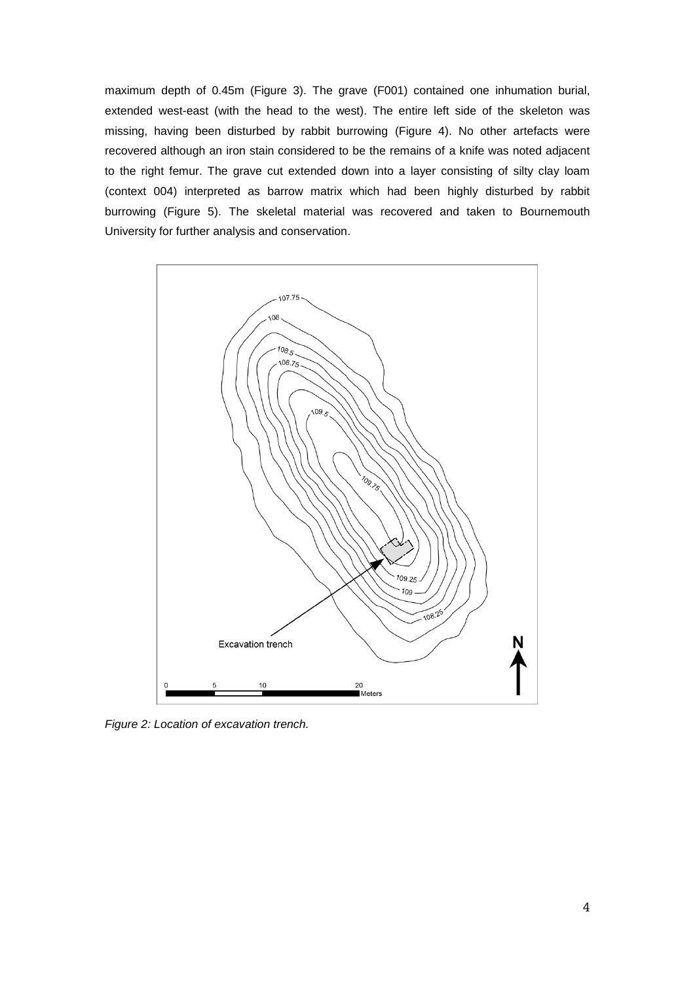maximum depth of 0.45m (Figure 3). The grave (F001) contained one inhumation burial, extended west-east (with the head to the west). The entire left side of the skeleton was missing, having been disturbed by rabbit burrowing (Figure 4). No other artefacts were recovered although an iron stain considered to be the remains of a knife was noted adjacent to the right femur. The grave cut extended down into a layer consisting of silty clay loam (context 004) interpreted as barrow matrix which had been highly disturbed by rabbit burrowing (Figure 5). The skeletal material was recovered and taken to Bournemouth University for further analysis and conservation.



*Figure 2: Location of excavation trench.*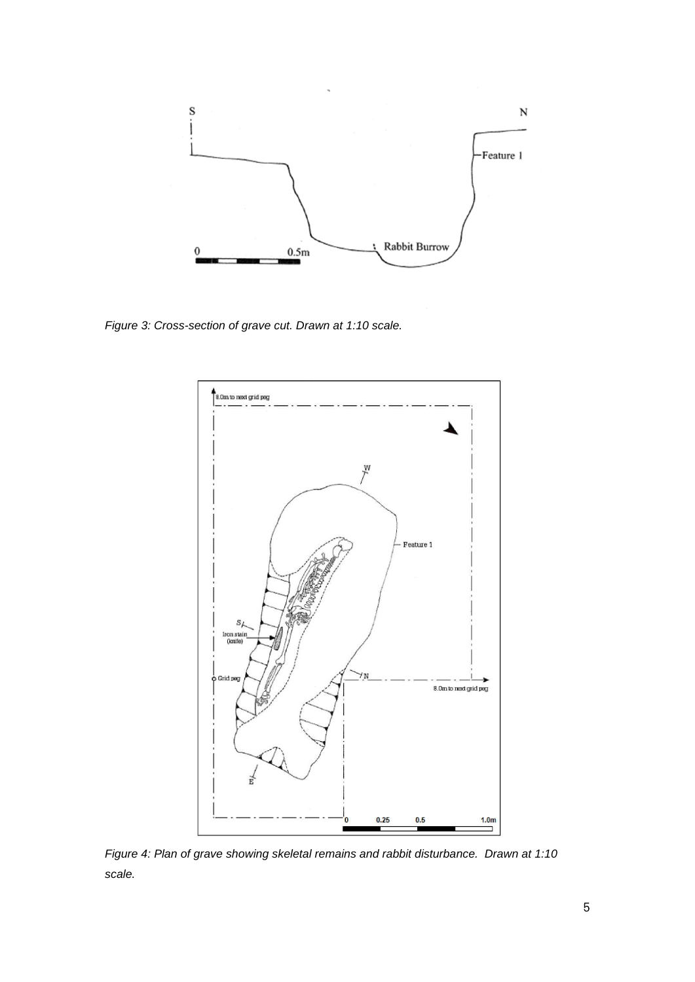

*Figure 3: Cross-section of grave cut. Drawn at 1:10 scale.*



*Figure 4: Plan of grave showing skeletal remains and rabbit disturbance. Drawn at 1:10 scale.*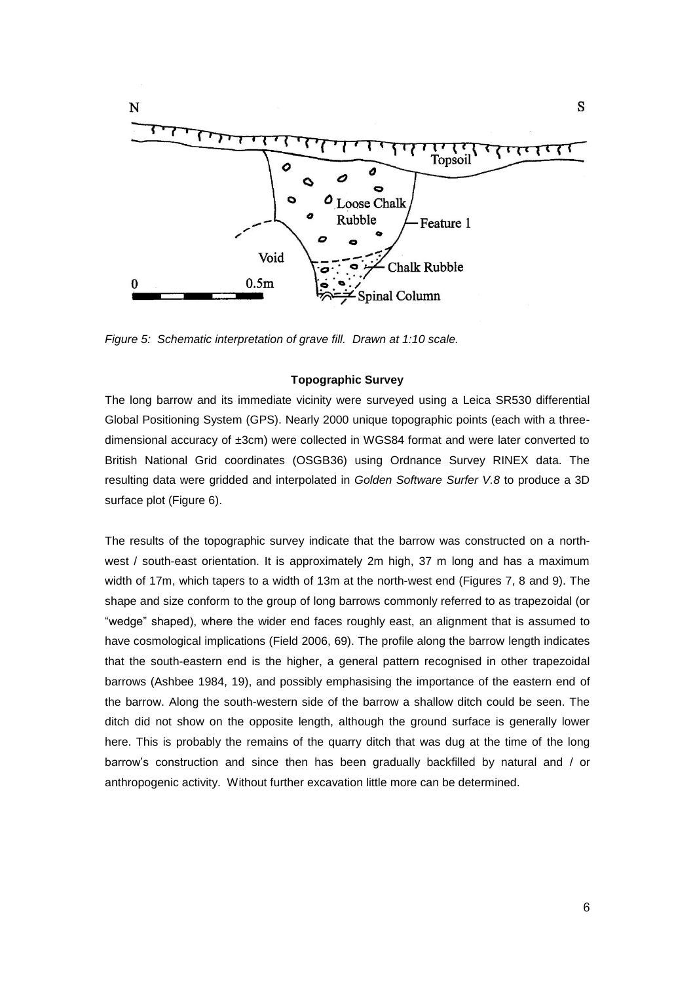

*Figure 5: Schematic interpretation of grave fill. Drawn at 1:10 scale.*

## **Topographic Survey**

The long barrow and its immediate vicinity were surveyed using a Leica SR530 differential Global Positioning System (GPS). Nearly 2000 unique topographic points (each with a threedimensional accuracy of ±3cm) were collected in WGS84 format and were later converted to British National Grid coordinates (OSGB36) using Ordnance Survey RINEX data. The resulting data were gridded and interpolated in *Golden Software Surfer V.8* to produce a 3D surface plot (Figure 6).

The results of the topographic survey indicate that the barrow was constructed on a northwest / south-east orientation. It is approximately 2m high, 37 m long and has a maximum width of 17m, which tapers to a width of 13m at the north-west end (Figures 7, 8 and 9). The shape and size conform to the group of long barrows commonly referred to as trapezoidal (or "wedge" shaped), where the wider end faces roughly east, an alignment that is assumed to have cosmological implications (Field 2006, 69). The profile along the barrow length indicates that the south-eastern end is the higher, a general pattern recognised in other trapezoidal barrows (Ashbee 1984, 19), and possibly emphasising the importance of the eastern end of the barrow. Along the south-western side of the barrow a shallow ditch could be seen. The ditch did not show on the opposite length, although the ground surface is generally lower here. This is probably the remains of the quarry ditch that was dug at the time of the long barrow's construction and since then has been gradually backfilled by natural and / or anthropogenic activity. Without further excavation little more can be determined.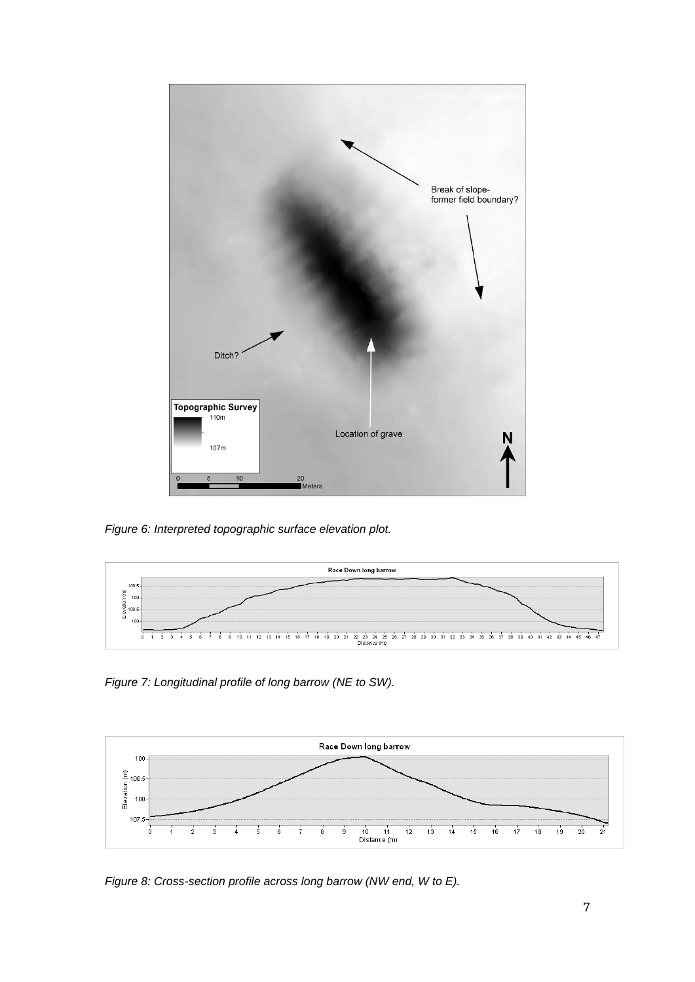

*Figure 6: Interpreted topographic surface elevation plot.*



*Figure 7: Longitudinal profile of long barrow (NE to SW).*



*Figure 8: Cross-section profile across long barrow (NW end, W to E).*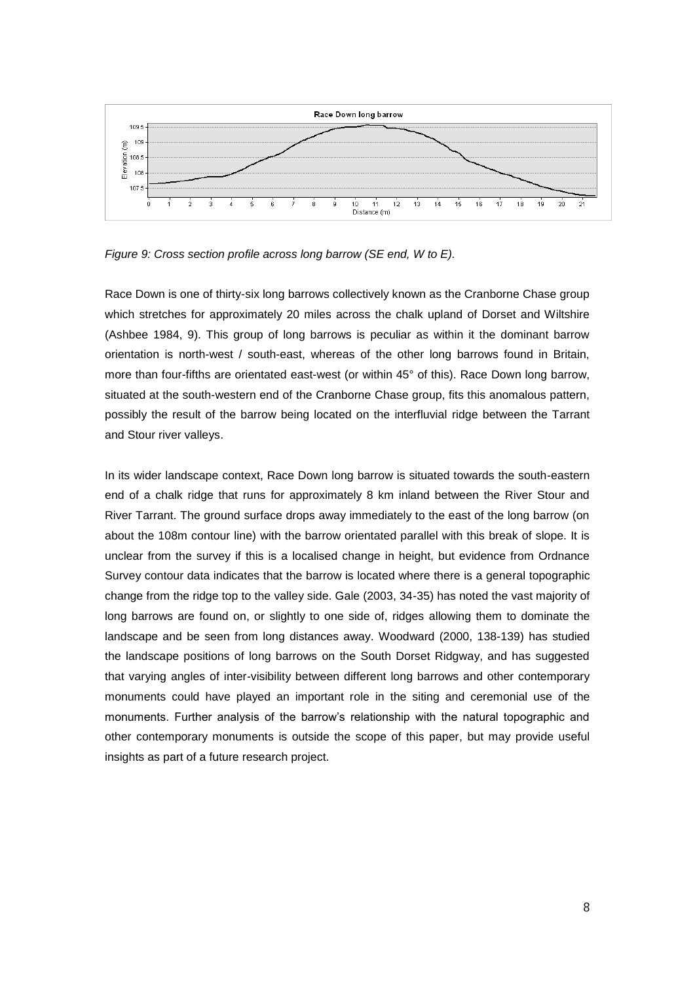

*Figure 9: Cross section profile across long barrow (SE end, W to E).*

Race Down is one of thirty-six long barrows collectively known as the Cranborne Chase group which stretches for approximately 20 miles across the chalk upland of Dorset and Wiltshire (Ashbee 1984, 9). This group of long barrows is peculiar as within it the dominant barrow orientation is north-west / south-east, whereas of the other long barrows found in Britain, more than four-fifths are orientated east-west (or within 45° of this). Race Down long barrow, situated at the south-western end of the Cranborne Chase group, fits this anomalous pattern, possibly the result of the barrow being located on the interfluvial ridge between the Tarrant and Stour river valleys.

In its wider landscape context, Race Down long barrow is situated towards the south-eastern end of a chalk ridge that runs for approximately 8 km inland between the River Stour and River Tarrant. The ground surface drops away immediately to the east of the long barrow (on about the 108m contour line) with the barrow orientated parallel with this break of slope. It is unclear from the survey if this is a localised change in height, but evidence from Ordnance Survey contour data indicates that the barrow is located where there is a general topographic change from the ridge top to the valley side. Gale (2003, 34-35) has noted the vast majority of long barrows are found on, or slightly to one side of, ridges allowing them to dominate the landscape and be seen from long distances away. Woodward (2000, 138-139) has studied the landscape positions of long barrows on the South Dorset Ridgway, and has suggested that varying angles of inter-visibility between different long barrows and other contemporary monuments could have played an important role in the siting and ceremonial use of the monuments. Further analysis of the barrow's relationship with the natural topographic and other contemporary monuments is outside the scope of this paper, but may provide useful insights as part of a future research project.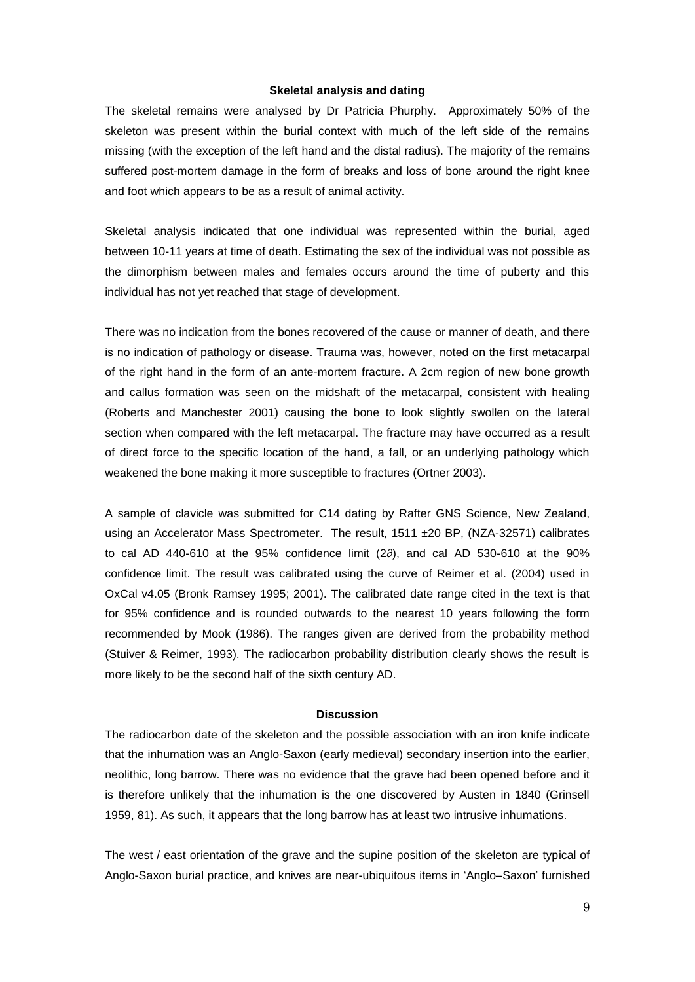#### **Skeletal analysis and dating**

The skeletal remains were analysed by Dr Patricia Phurphy. Approximately 50% of the skeleton was present within the burial context with much of the left side of the remains missing (with the exception of the left hand and the distal radius). The majority of the remains suffered post-mortem damage in the form of breaks and loss of bone around the right knee and foot which appears to be as a result of animal activity.

Skeletal analysis indicated that one individual was represented within the burial, aged between 10-11 years at time of death. Estimating the sex of the individual was not possible as the dimorphism between males and females occurs around the time of puberty and this individual has not yet reached that stage of development.

There was no indication from the bones recovered of the cause or manner of death, and there is no indication of pathology or disease. Trauma was, however, noted on the first metacarpal of the right hand in the form of an ante-mortem fracture. A 2cm region of new bone growth and callus formation was seen on the midshaft of the metacarpal, consistent with healing (Roberts and Manchester 2001) causing the bone to look slightly swollen on the lateral section when compared with the left metacarpal. The fracture may have occurred as a result of direct force to the specific location of the hand, a fall, or an underlying pathology which weakened the bone making it more susceptible to fractures (Ortner 2003).

A sample of clavicle was submitted for C14 dating by Rafter GNS Science, New Zealand, using an Accelerator Mass Spectrometer. The result, 1511 ± 20 BP, (NZA-32571) calibrates to cal AD 440-610 at the 95% confidence limit (2∂), and cal AD 530-610 at the 90% confidence limit. The result was calibrated using the curve of Reimer et al. (2004) used in OxCal v4.05 (Bronk Ramsey 1995; 2001). The calibrated date range cited in the text is that for 95% confidence and is rounded outwards to the nearest 10 years following the form recommended by Mook (1986). The ranges given are derived from the probability method (Stuiver & Reimer, 1993). The radiocarbon probability distribution clearly shows the result is more likely to be the second half of the sixth century AD.

#### **Discussion**

The radiocarbon date of the skeleton and the possible association with an iron knife indicate that the inhumation was an Anglo-Saxon (early medieval) secondary insertion into the earlier, neolithic, long barrow. There was no evidence that the grave had been opened before and it is therefore unlikely that the inhumation is the one discovered by Austen in 1840 (Grinsell 1959, 81). As such, it appears that the long barrow has at least two intrusive inhumations.

The west / east orientation of the grave and the supine position of the skeleton are typical of Anglo-Saxon burial practice, and knives are near-ubiquitous items in 'Anglo–Saxon' furnished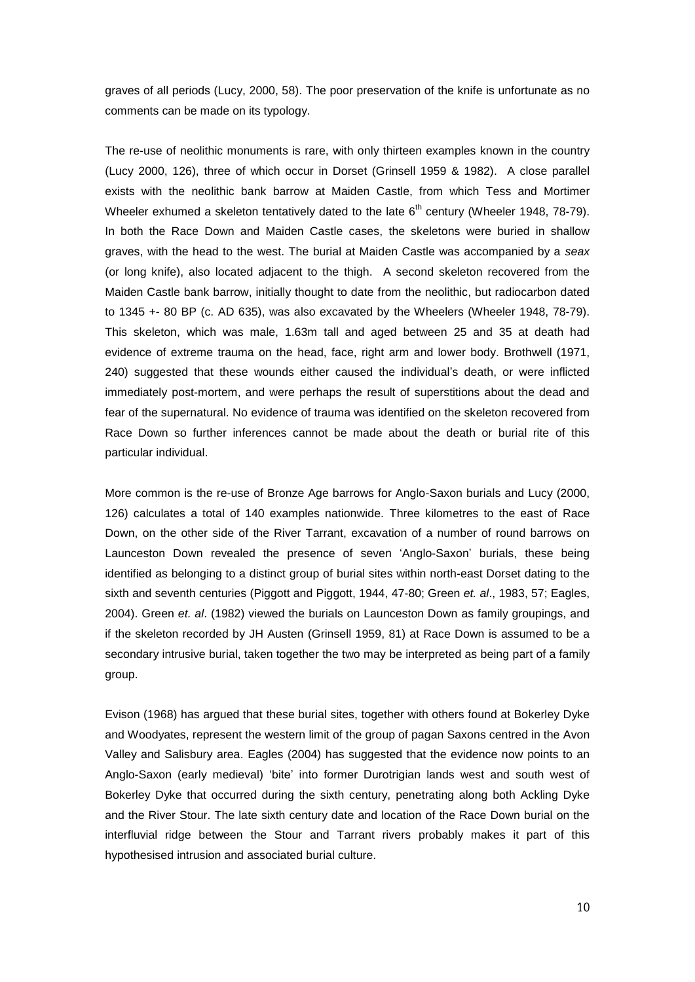graves of all periods (Lucy, 2000, 58). The poor preservation of the knife is unfortunate as no comments can be made on its typology.

The re-use of neolithic monuments is rare, with only thirteen examples known in the country (Lucy 2000, 126), three of which occur in Dorset (Grinsell 1959 & 1982). A close parallel exists with the neolithic bank barrow at Maiden Castle, from which Tess and Mortimer Wheeler exhumed a skeleton tentatively dated to the late  $6<sup>th</sup>$  century (Wheeler 1948, 78-79). In both the Race Down and Maiden Castle cases, the skeletons were buried in shallow graves, with the head to the west. The burial at Maiden Castle was accompanied by a *seax* (or long knife), also located adjacent to the thigh. A second skeleton recovered from the Maiden Castle bank barrow, initially thought to date from the neolithic, but radiocarbon dated to 1345 +- 80 BP (c. AD 635), was also excavated by the Wheelers (Wheeler 1948, 78-79). This skeleton, which was male, 1.63m tall and aged between 25 and 35 at death had evidence of extreme trauma on the head, face, right arm and lower body. Brothwell (1971, 240) suggested that these wounds either caused the individual's death, or were inflicted immediately post-mortem, and were perhaps the result of superstitions about the dead and fear of the supernatural. No evidence of trauma was identified on the skeleton recovered from Race Down so further inferences cannot be made about the death or burial rite of this particular individual.

More common is the re-use of Bronze Age barrows for Anglo-Saxon burials and Lucy (2000, 126) calculates a total of 140 examples nationwide. Three kilometres to the east of Race Down, on the other side of the River Tarrant, excavation of a number of round barrows on Launceston Down revealed the presence of seven 'Anglo-Saxon' burials, these being identified as belonging to a distinct group of burial sites within north-east Dorset dating to the sixth and seventh centuries (Piggott and Piggott, 1944, 47-80; Green *et. al*., 1983, 57; Eagles, 2004). Green *et. al*. (1982) viewed the burials on Launceston Down as family groupings, and if the skeleton recorded by JH Austen (Grinsell 1959, 81) at Race Down is assumed to be a secondary intrusive burial, taken together the two may be interpreted as being part of a family group.

Evison (1968) has argued that these burial sites, together with others found at Bokerley Dyke and Woodyates, represent the western limit of the group of pagan Saxons centred in the Avon Valley and Salisbury area. Eagles (2004) has suggested that the evidence now points to an Anglo-Saxon (early medieval) 'bite' into former Durotrigian lands west and south west of Bokerley Dyke that occurred during the sixth century, penetrating along both Ackling Dyke and the River Stour. The late sixth century date and location of the Race Down burial on the interfluvial ridge between the Stour and Tarrant rivers probably makes it part of this hypothesised intrusion and associated burial culture.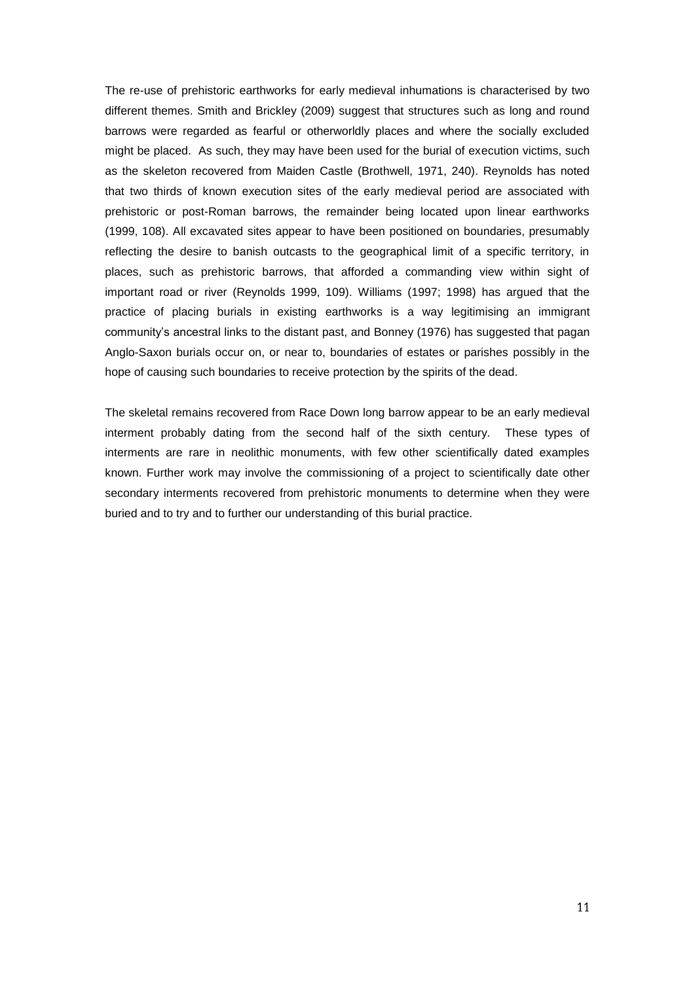The re-use of prehistoric earthworks for early medieval inhumations is characterised by two different themes. Smith and Brickley (2009) suggest that structures such as long and round barrows were regarded as fearful or otherworldly places and where the socially excluded might be placed. As such, they may have been used for the burial of execution victims, such as the skeleton recovered from Maiden Castle (Brothwell, 1971, 240). Reynolds has noted that two thirds of known execution sites of the early medieval period are associated with prehistoric or post-Roman barrows, the remainder being located upon linear earthworks (1999, 108). All excavated sites appear to have been positioned on boundaries, presumably reflecting the desire to banish outcasts to the geographical limit of a specific territory, in places, such as prehistoric barrows, that afforded a commanding view within sight of important road or river (Reynolds 1999, 109). Williams (1997; 1998) has argued that the practice of placing burials in existing earthworks is a way legitimising an immigrant community's ancestral links to the distant past, and Bonney (1976) has suggested that pagan Anglo-Saxon burials occur on, or near to, boundaries of estates or parishes possibly in the hope of causing such boundaries to receive protection by the spirits of the dead.

The skeletal remains recovered from Race Down long barrow appear to be an early medieval interment probably dating from the second half of the sixth century. These types of interments are rare in neolithic monuments, with few other scientifically dated examples known. Further work may involve the commissioning of a project to scientifically date other secondary interments recovered from prehistoric monuments to determine when they were buried and to try and to further our understanding of this burial practice.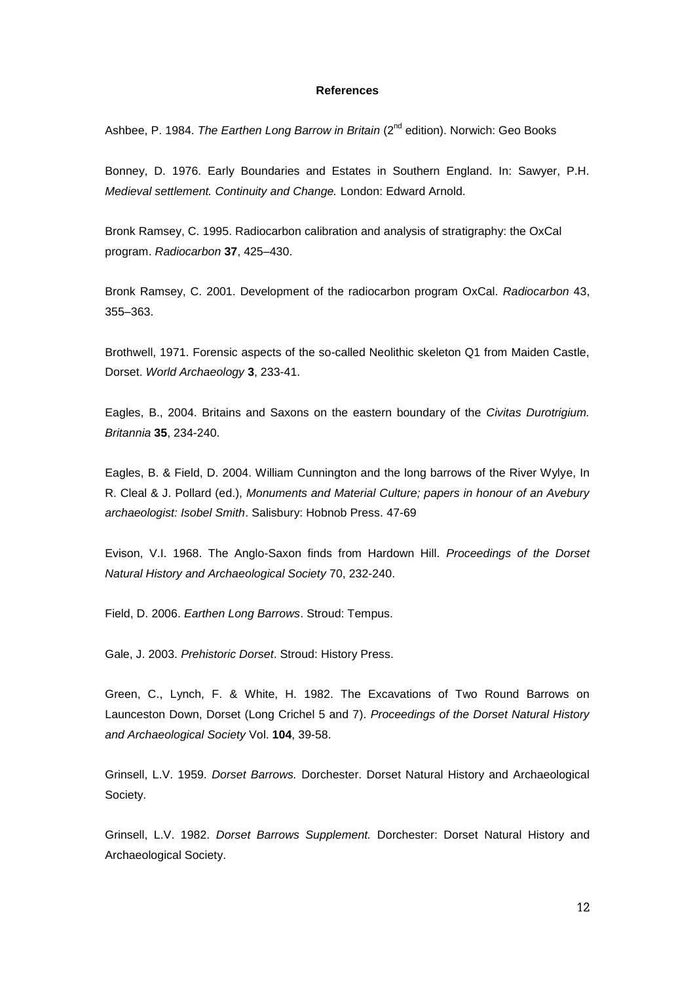# **References**

Ashbee, P. 1984. *The Earthen Long Barrow in Britain* (2<sup>nd</sup> edition). Norwich: Geo Books

Bonney, D. 1976. Early Boundaries and Estates in Southern England. In: Sawyer, P.H. *Medieval settlement. Continuity and Change.* London: Edward Arnold.

Bronk Ramsey, C. 1995. Radiocarbon calibration and analysis of stratigraphy: the OxCal program. *Radiocarbon* **37**, 425–430.

Bronk Ramsey, C. 2001. Development of the radiocarbon program OxCal. *Radiocarbon* 43, 355–363.

Brothwell, 1971. Forensic aspects of the so-called Neolithic skeleton Q1 from Maiden Castle, Dorset. *World Archaeology* **3**, 233-41.

Eagles, B., 2004. Britains and Saxons on the eastern boundary of the *Civitas Durotrigium. Britannia* **35**, 234-240.

Eagles, B. & Field, D. 2004. William Cunnington and the long barrows of the River Wylye, In R. Cleal & J. Pollard (ed.), *Monuments and Material Culture; papers in honour of an Avebury archaeologist: Isobel Smith*. Salisbury: Hobnob Press. 47-69

Evison, V.I. 1968. The Anglo-Saxon finds from Hardown Hill. *Proceedings of the Dorset Natural History and Archaeological Society* 70, 232-240.

Field, D. 2006. *Earthen Long Barrows*. Stroud: Tempus.

Gale, J. 2003. *Prehistoric Dorset*. Stroud: History Press.

Green, C., Lynch, F. & White, H. 1982. The Excavations of Two Round Barrows on Launceston Down, Dorset (Long Crichel 5 and 7). *Proceedings of the Dorset Natural History and Archaeological Society* Vol. **104**, 39-58.

Grinsell, L.V. 1959. *Dorset Barrows.* Dorchester. Dorset Natural History and Archaeological Society.

Grinsell, L.V. 1982. *Dorset Barrows Supplement.* Dorchester: Dorset Natural History and Archaeological Society.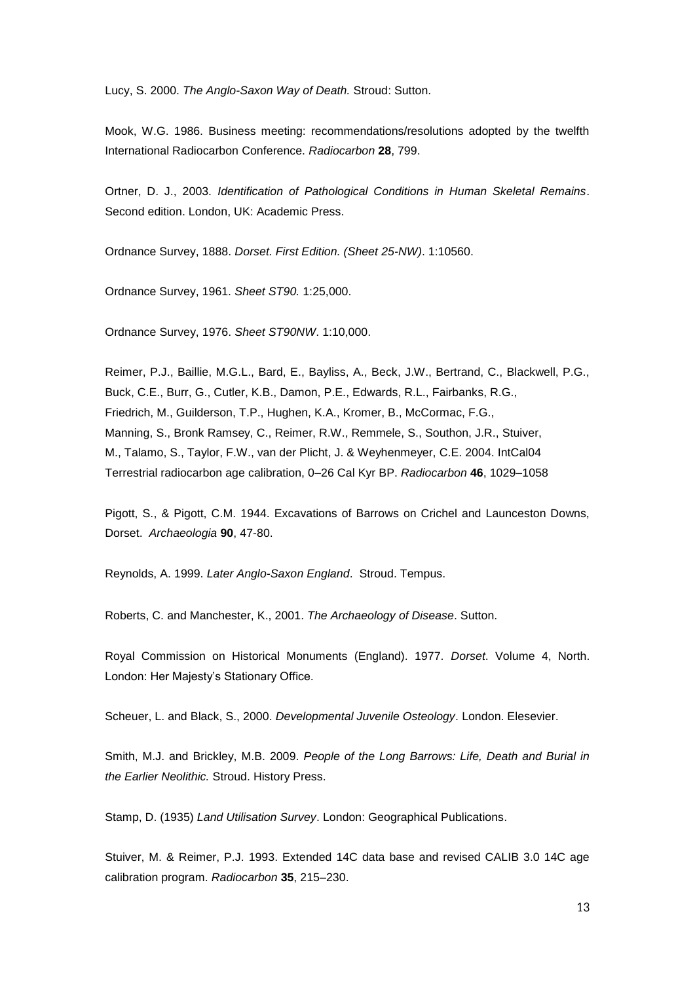Lucy, S. 2000. *The Anglo-Saxon Way of Death.* Stroud: Sutton.

Mook, W.G. 1986. Business meeting: recommendations/resolutions adopted by the twelfth International Radiocarbon Conference. *Radiocarbon* **28**, 799.

Ortner, D. J., 2003. *Identification of Pathological Conditions in Human Skeletal Remains*. Second edition. London, UK: Academic Press.

Ordnance Survey, 1888. *Dorset. First Edition. (Sheet 25-NW)*. 1:10560.

Ordnance Survey, 1961. *Sheet ST90.* 1:25,000.

Ordnance Survey, 1976. *Sheet ST90NW*. 1:10,000.

Reimer, P.J., Baillie, M.G.L., Bard, E., Bayliss, A., Beck, J.W., Bertrand, C., Blackwell, P.G., Buck, C.E., Burr, G., Cutler, K.B., Damon, P.E., Edwards, R.L., Fairbanks, R.G., Friedrich, M., Guilderson, T.P., Hughen, K.A., Kromer, B., McCormac, F.G., Manning, S., Bronk Ramsey, C., Reimer, R.W., Remmele, S., Southon, J.R., Stuiver, M., Talamo, S., Taylor, F.W., van der Plicht, J. & Weyhenmeyer, C.E. 2004. IntCal04 Terrestrial radiocarbon age calibration, 0–26 Cal Kyr BP. *Radiocarbon* **46**, 1029–1058

Pigott, S., & Pigott, C.M. 1944. Excavations of Barrows on Crichel and Launceston Downs, Dorset. *Archaeologia* **90**, 47-80.

Reynolds, A. 1999. *Later Anglo-Saxon England*. Stroud. Tempus.

Roberts, C. and Manchester, K., 2001. *The Archaeology of Disease*. Sutton.

Royal Commission on Historical Monuments (England). 1977. *Dorset*. Volume 4, North. London: Her Majesty's Stationary Office.

Scheuer, L. and Black, S., 2000. *Developmental Juvenile Osteology*. London. Elesevier.

Smith, M.J. and Brickley, M.B. 2009. *People of the Long Barrows: Life, Death and Burial in the Earlier Neolithic.* Stroud. History Press.

Stamp, D. (1935) *Land Utilisation Survey*. London: Geographical Publications.

Stuiver, M. & Reimer, P.J. 1993. Extended 14C data base and revised CALIB 3.0 14C age calibration program. *Radiocarbon* **35**, 215–230.